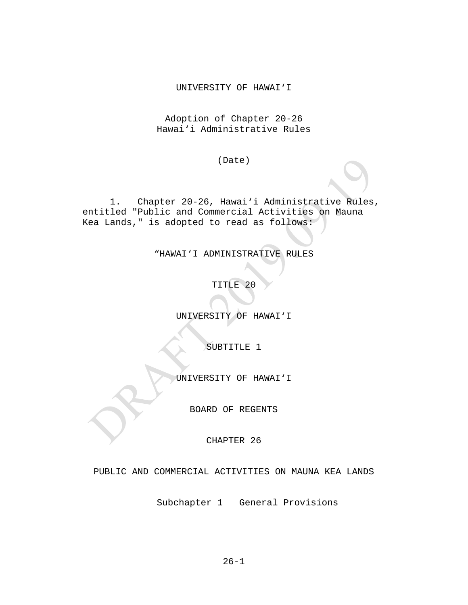#### UNIVERSITY OF HAWAI'I

Adoption of Chapter 20-26 Hawai'i Administrative Rules

(Date)

1. Chapter 20-26, Hawai'i Administrative Rules, entitled "Public and Commercial Activities on Mauna Kea Lands," is adopted to read as follows:

"HAWAI'I ADMINISTRATIVE RULES

TITLE 20

UNIVERSITY OF HAWAI'I

SUBTITLE 1

UNIVERSITY OF HAWAI'I

BOARD OF REGENTS

CHAPTER 26

PUBLIC AND COMMERCIAL ACTIVITIES ON MAUNA KEA LANDS

Subchapter 1 General Provisions

 $26 - 1$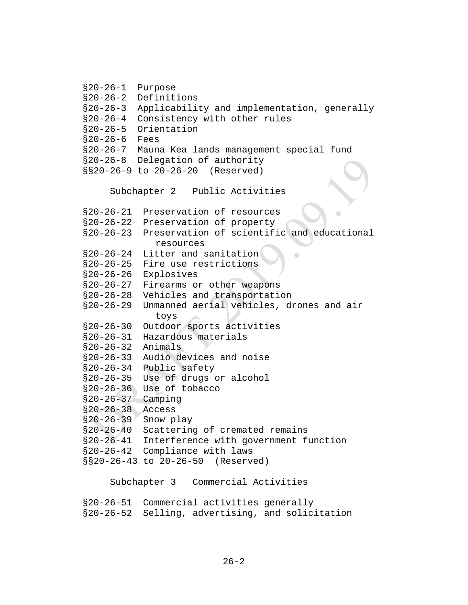```
§20-26-1 Purpose 
§20-26-2 Definitions
§20-26-3 Applicability and implementation, generally
§20-26-4 Consistency with other rules
§20-26-5 Orientation 
§20-26-6 Fees 
§20-26-7 Mauna Kea lands management special fund 
§20-26-8 Delegation of authority 
§§20-26-9 to 20-26-20 (Reserved)
    Subchapter 2 Public Activities
§20-26-21 Preservation of resources
§20-26-22 Preservation of property
§20-26-23 Preservation of scientific and educational 
              resources
§20-26-24 Litter and sanitation
                                      \Box§20-26-25 Fire use restrictions
§20-26-26 Explosives
§20-26-27 Firearms or other weapons
§20-26-28 Vehicles and transportation
§20-26-29 Unmanned aerial vehicles, drones and air 
              toys
§20-26-30 Outdoor sports activities
§20-26-31 Hazardous materials
§20-26-32 Animals
§20-26-33 Audio devices and noise
§20-26-34 Public safety
§20-26-35 Use of drugs or alcohol
§20-26-36 Use of tobacco
§20-26-37 Camping
§20-26-38 Access
§20-26-39 Snow play
§20-26-40 Scattering of cremated remains
§20-26-41 Interference with government function
§20-26-42 Compliance with laws
§§20-26-43 to 20-26-50 (Reserved)
    Subchapter 3 Commercial Activities
§20-26-51 Commercial activities generally
§20-26-52 Selling, advertising, and solicitation
```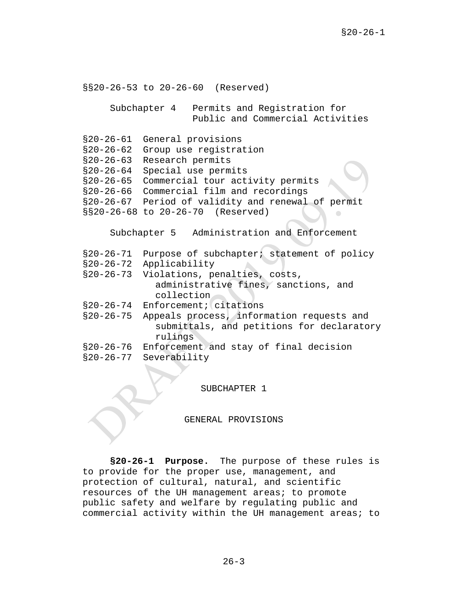§§20-26-53 to 20-26-60 (Reserved) Subchapter 4 Permits and Registration for Public and Commercial Activities §20-26-61 General provisions §20-26-62 Group use registration §20-26-63 Research permits §20-26-64 Special use permits §20-26-65 Commercial tour activity permits §20-26-66 Commercial film and recordings §20-26-67 Period of validity and renewal of permit §§20-26-68 to 20-26-70 (Reserved) Subchapter 5 Administration and Enforcement §20-26-71 Purpose of subchapter; statement of policy §20-26-72 Applicability §20-26-73 Violations, penalties, costs, administrative fines, sanctions, and collection §20-26-74 Enforcement; citations §20-26-75 Appeals process, information requests and submittals, and petitions for declaratory rulings §20-26-76 Enforcement and stay of final decision<br>§20-26-77 Severability Severability

SUBCHAPTER 1

GENERAL PROVISIONS

**§20-26-1 Purpose.** The purpose of these rules is to provide for the proper use, management, and protection of cultural, natural, and scientific resources of the UH management areas; to promote public safety and welfare by regulating public and commercial activity within the UH management areas; to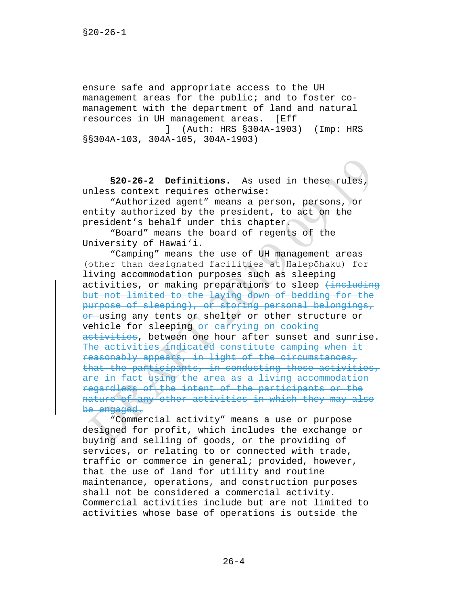ensure safe and appropriate access to the UH management areas for the public; and to foster comanagement with the department of land and natural<br>resources in UH management areas. [Eff resources in UH management areas. ] (Auth: HRS §304A-1903) (Imp: HRS

§§304A-103, 304A-105, 304A-1903)

**§20-26-2 Definitions.** As used in these rules, unless context requires otherwise:

"Authorized agent" means a person, persons, or entity authorized by the president, to act on the president's behalf under this chapter.

"Board" means the board of regents of the University of Hawai'i.

"Camping" means the use of UH management areas (other than designated facilities at Halepōhaku) for living accommodation purposes such as sleeping activities, or making preparations to sleep  $\frac{1}{10}$  the luding but not limited to the laying down of bedding for the purpose of sleeping), or storing personal belongings, or using any tents or shelter or other structure or vehicle for sleeping or carrying on cooking activities, between one hour after sunset and sunrise. The activities indicated constitute camping when it reasonably appears, in light of the circumstances, that the participants, in conducting these activities, are in fact using the area as a living accommodation regardless of the intent of the participants or the nature of any other activities in which they may also be engaged.

"Commercial activity" means a use or purpose designed for profit, which includes the exchange or buying and selling of goods, or the providing of services, or relating to or connected with trade, traffic or commerce in general; provided, however, that the use of land for utility and routine maintenance, operations, and construction purposes shall not be considered a commercial activity. Commercial activities include but are not limited to activities whose base of operations is outside the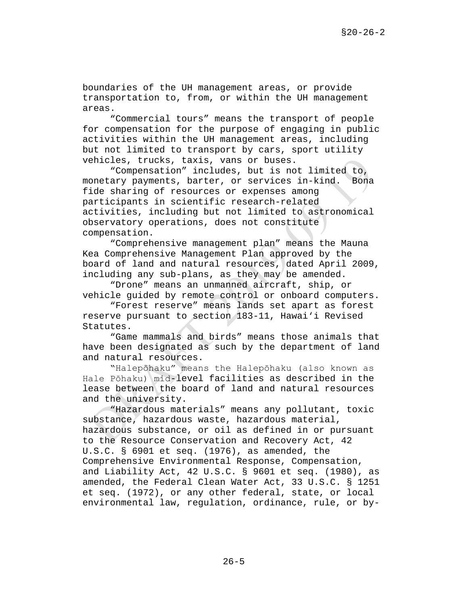boundaries of the UH management areas, or provide transportation to, from, or within the UH management areas.

"Commercial tours" means the transport of people for compensation for the purpose of engaging in public activities within the UH management areas, including but not limited to transport by cars, sport utility vehicles, trucks, taxis, vans or buses.

"Compensation" includes, but is not limited to,<br>ary payments, barter, or services in-kind. Bona monetary payments, barter, or services in-kind. fide sharing of resources or expenses among participants in scientific research-related activities, including but not limited to astronomical observatory operations, does not constitute compensation.

"Comprehensive management plan" means the Mauna Kea Comprehensive Management Plan approved by the board of land and natural resources, dated April 2009, including any sub-plans, as they may be amended.

"Drone" means an unmanned aircraft, ship, or vehicle guided by remote control or onboard computers.

"Forest reserve" means lands set apart as forest reserve pursuant to section 183-11, Hawai'i Revised Statutes.

"Game mammals and birds" means those animals that have been designated as such by the department of land and natural resources.

"Halepōhaku" means the Halepōhaku (also known as Hale Pōhaku) mid-level facilities as described in the lease between the board of land and natural resources and the university.

"Hazardous materials" means any pollutant, toxic substance, hazardous waste, hazardous material, hazardous substance, or oil as defined in or pursuant to the Resource Conservation and Recovery Act, 42 U.S.C. § 6901 et seq. (1976), as amended, the Comprehensive Environmental Response, Compensation, and Liability Act, 42 U.S.C. § 9601 et seq. (1980), as amended, the Federal Clean Water Act, 33 U.S.C. § 1251 et seq. (1972), or any other federal, state, or local environmental law, regulation, ordinance, rule, or by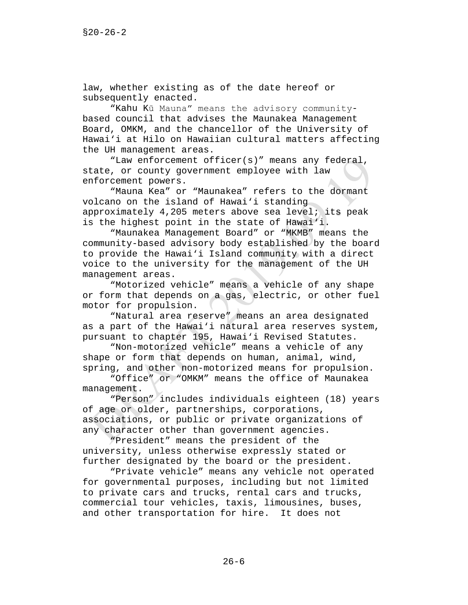law, whether existing as of the date hereof or subsequently enacted.

"Kahu Kū Mauna" means the advisory communitybased council that advises the Maunakea Management Board, OMKM, and the chancellor of the University of Hawai'i at Hilo on Hawaiian cultural matters affecting the UH management areas.

"Law enforcement officer(s)" means any federal, state, or county government employee with law enforcement powers.

"Mauna Kea" or "Maunakea" refers to the dormant volcano on the island of Hawai'i standing approximately 4,205 meters above sea level; its peak is the highest point in the state of Hawai'i.

"Maunakea Management Board" or "MKMB" means the community-based advisory body established by the board to provide the Hawai'i Island community with a direct voice to the university for the management of the UH management areas.

"Motorized vehicle" means a vehicle of any shape or form that depends on a gas, electric, or other fuel motor for propulsion.

"Natural area reserve" means an area designated as a part of the Hawai'i natural area reserves system, pursuant to chapter 195, Hawai'i Revised Statutes.

"Non-motorized vehicle" means a vehicle of any shape or form that depends on human, animal, wind, spring, and other non-motorized means for propulsion.

"Office" or "OMKM" means the office of Maunakea management.

"Person" includes individuals eighteen (18) years of age or older, partnerships, corporations, associations, or public or private organizations of any character other than government agencies.

"President" means the president of the university, unless otherwise expressly stated or further designated by the board or the president.

"Private vehicle" means any vehicle not operated for governmental purposes, including but not limited to private cars and trucks, rental cars and trucks, commercial tour vehicles, taxis, limousines, buses, and other transportation for hire. It does not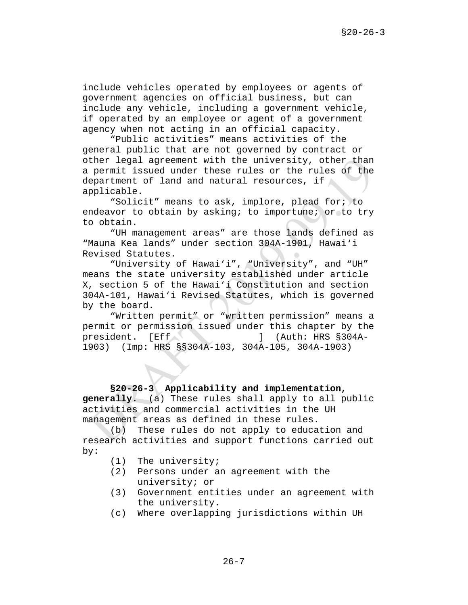include vehicles operated by employees or agents of government agencies on official business, but can include any vehicle, including a government vehicle, if operated by an employee or agent of a government agency when not acting in an official capacity.

"Public activities" means activities of the general public that are not governed by contract or other legal agreement with the university, other than a permit issued under these rules or the rules of the department of land and natural resources, if applicable.

"Solicit" means to ask, implore, plead for; to endeavor to obtain by asking; to importune; or to try to obtain.

"UH management areas" are those lands defined as "Mauna Kea lands" under section 304A-1901, Hawai'i Revised Statutes.

"University of Hawai'i", "University", and "UH" means the state university established under article X, section 5 of the Hawai'i Constitution and section 304A-101, Hawai'i Revised Statutes, which is governed by the board.

"Written permit" or "written permission" means a permit or permission issued under this chapter by the president. [Eff ] (Auth: HRS §304A-1903) (Imp: HRS §§304A-103, 304A-105, 304A-1903)

**§20-26-3 Applicability and implementation, generally.** (a) These rules shall apply to all public activities and commercial activities in the UH management areas as defined in these rules.

(b) These rules do not apply to education and research activities and support functions carried out by:

- (1) The university;
- (2) Persons under an agreement with the university; or
- (3) Government entities under an agreement with the university.
- (c) Where overlapping jurisdictions within UH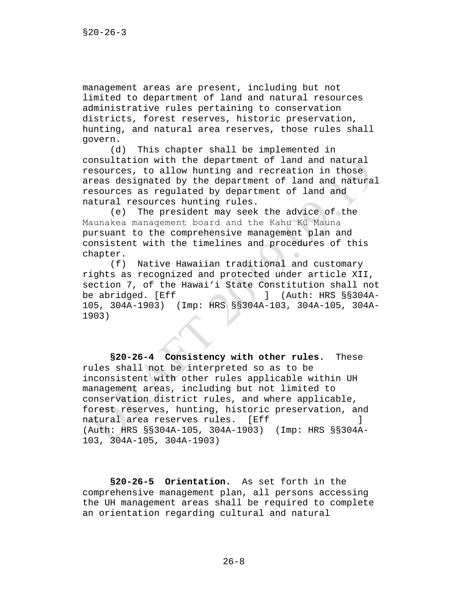management areas are present, including but not limited to department of land and natural resources administrative rules pertaining to conservation districts, forest reserves, historic preservation, hunting, and natural area reserves, those rules shall govern.

(d) This chapter shall be implemented in consultation with the department of land and natural resources, to allow hunting and recreation in those areas designated by the department of land and natural resources as regulated by department of land and natural resources hunting rules.

(e) The president may seek the advice of the Maunakea management board and the Kahu Kū Mauna pursuant to the comprehensive management plan and consistent with the timelines and procedures of this chapter.

(f) Native Hawaiian traditional and customary rights as recognized and protected under article XII, section 7, of the Hawai'i State Constitution shall not<br>be abridged. [Eff ] (Auth: HRS §§304Abe abridged. [Eff ] (Auth: HRS §§304A-105, 304A-1903) (Imp: HRS §§304A-103, 304A-105, 304A-1903)

**§20-26-4 Consistency with other rules.** These rules shall not be interpreted so as to be inconsistent with other rules applicable within UH management areas, including but not limited to conservation district rules, and where applicable, forest reserves, hunting, historic preservation, and natural area reserves rules. (Auth: HRS §§304A-105, 304A-1903) (Imp: HRS §§304A-103, 304A-105, 304A-1903)

**§20-26-5 Orientation.** As set forth in the comprehensive management plan, all persons accessing the UH management areas shall be required to complete an orientation regarding cultural and natural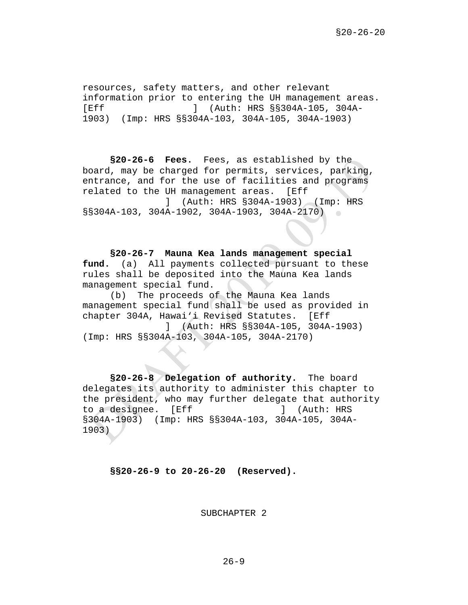resources, safety matters, and other relevant information prior to entering the UH management areas.<br>
[Eff  $1 \t{Auth: HRS $8304A-105, 304A-105}$ ] ] (Auth: HRS §§304A-105, 304A-1903) (Imp: HRS §§304A-103, 304A-105, 304A-1903)

**§20-26-6 Fees.** Fees, as established by the board, may be charged for permits, services, parking, entrance, and for the use of facilities and programs related to the UH management areas. [Eff ] (Auth: HRS §304A-1903) (Imp: HRS §§304A-103, 304A-1902, 304A-1903, 304A-2170)  $\sim$ 

**§20-26-7 Mauna Kea lands management special fund.** (a) All payments collected pursuant to these rules shall be deposited into the Mauna Kea lands management special fund.

(b) The proceeds of the Mauna Kea lands management special fund shall be used as provided in chapter 304A, Hawai'i Revised Statutes. [Eff ] (Auth: HRS §§304A-105, 304A-1903) (Imp: HRS §§304A-103, 304A-105, 304A-2170)

**§20-26-8 Delegation of authority.** The board delegates its authority to administer this chapter to the president, who may further delegate that authority to a designee. [Eff [1] [Auth: HRS] §304A-1903) (Imp: HRS §§304A-103, 304A-105, 304A-1903)

**§§20-26-9 to 20-26-20 (Reserved).**

SUBCHAPTER 2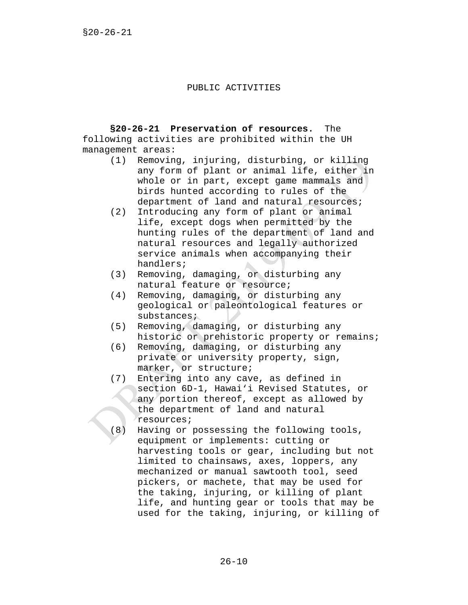#### PUBLIC ACTIVITIES

**§20-26-21 Preservation of resources.** The following activities are prohibited within the UH management areas:

- (1) Removing, injuring, disturbing, or killing any form of plant or animal life, either in whole or in part, except game mammals and birds hunted according to rules of the department of land and natural resources;
- (2) Introducing any form of plant or animal life, except dogs when permitted by the hunting rules of the department of land and natural resources and legally authorized service animals when accompanying their handlers;
- (3) Removing, damaging, or disturbing any natural feature or resource;
- (4) Removing, damaging, or disturbing any geological or paleontological features or substances;
- (5) Removing, damaging, or disturbing any historic or prehistoric property or remains;
- (6) Removing, damaging, or disturbing any private or university property, sign, marker, or structure;
- (7) Entering into any cave, as defined in section 6D-1, Hawai'i Revised Statutes, or any portion thereof, except as allowed by the department of land and natural resources;
- (8) Having or possessing the following tools, equipment or implements: cutting or harvesting tools or gear, including but not limited to chainsaws, axes, loppers, any mechanized or manual sawtooth tool, seed pickers, or machete, that may be used for the taking, injuring, or killing of plant life, and hunting gear or tools that may be used for the taking, injuring, or killing of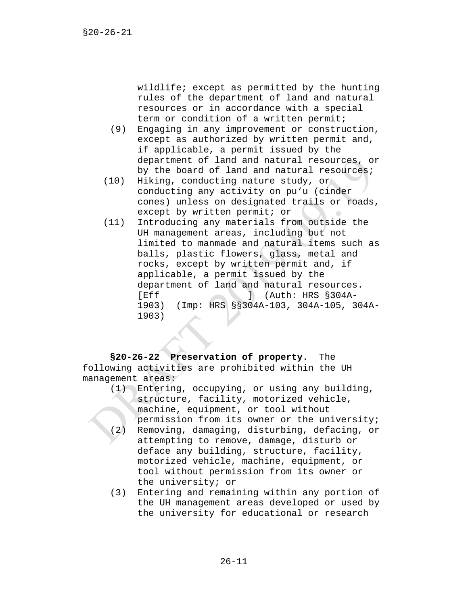wildlife; except as permitted by the hunting rules of the department of land and natural resources or in accordance with a special term or condition of a written permit;

- (9) Engaging in any improvement or construction, except as authorized by written permit and, if applicable, a permit issued by the department of land and natural resources, or by the board of land and natural resources;
- (10) Hiking, conducting nature study, or conducting any activity on pu'u (cinder cones) unless on designated trails or roads, except by written permit; or
- (11) Introducing any materials from outside the UH management areas, including but not limited to manmade and natural items such as balls, plastic flowers, glass, metal and rocks, except by written permit and, if applicable, a permit issued by the department of land and natural resources.<br>
I (Auth: HRS \$304A- $\blacksquare$  (Auth: HRS §304A-1903) (Imp: HRS §§304A-103, 304A-105, 304A-1903)

**§20-26-22 Preservation of property**. The following activities are prohibited within the UH management areas:

- (1) Entering, occupying, or using any building, structure, facility, motorized vehicle, machine, equipment, or tool without permission from its owner or the university; (2) Removing, damaging, disturbing, defacing, or attempting to remove, damage, disturb or deface any building, structure, facility, motorized vehicle, machine, equipment, or tool without permission from its owner or the university; or
- (3) Entering and remaining within any portion of the UH management areas developed or used by the university for educational or research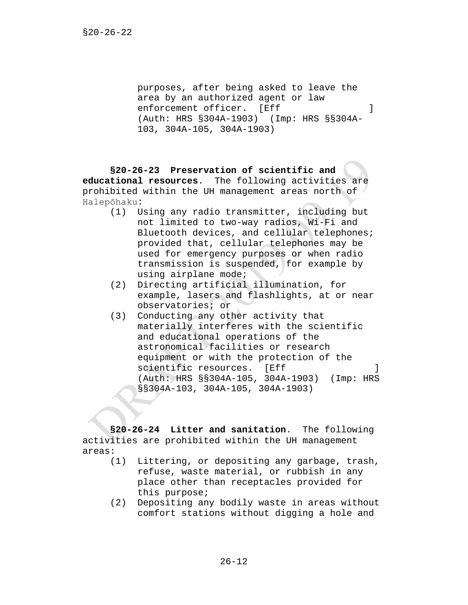purposes, after being asked to leave the area by an authorized agent or law enforcement officer. [Eff ] (Auth: HRS §304A-1903) (Imp: HRS §§304A-103, 304A-105, 304A-1903)

**§20-26-23 Preservation of scientific and educational resources**. The following activities are prohibited within the UH management areas north of Halepōhaku:

- (1) Using any radio transmitter, including but not limited to two-way radios, Wi-Fi and Bluetooth devices, and cellular telephones; provided that, cellular telephones may be used for emergency purposes or when radio transmission is suspended, for example by using airplane mode;
- (2) Directing artificial illumination, for example, lasers and flashlights, at or near observatories; or
- (3) Conducting any other activity that materially interferes with the scientific and educational operations of the astronomical facilities or research equipment or with the protection of the scientific resources. [Eff (Auth: HRS §§304A-105, 304A-1903) (Imp: HRS §§304A-103, 304A-105, 304A-1903)

**§20-26-24 Litter and sanitation**. The following activities are prohibited within the UH management areas:

- Littering, or depositing any garbage, trash, refuse, waste material, or rubbish in any place other than receptacles provided for this purpose;
- (2) Depositing any bodily waste in areas without comfort stations without digging a hole and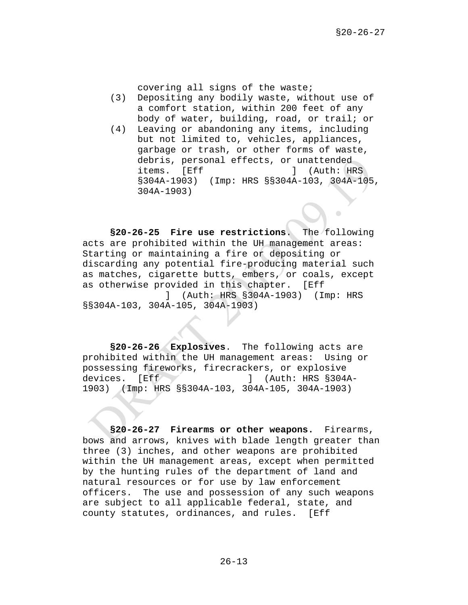covering all signs of the waste;

- (3) Depositing any bodily waste, without use of a comfort station, within 200 feet of any body of water, building, road, or trail; or
- (4) Leaving or abandoning any items, including but not limited to, vehicles, appliances, garbage or trash, or other forms of waste, debris, personal effects, or unattended<br>items. [Eff ] (Auth: HR ] (Auth: HRS §304A-1903) (Imp: HRS §§304A-103, 304A-105, 304A-1903)

**§20-26-25 Fire use restrictions**. The following acts are prohibited within the UH management areas: Starting or maintaining a fire or depositing or discarding any potential fire-producing material such as matches, cigarette butts, embers, or coals, except as otherwise provided in this chapter. [Eff ] (Auth: HRS §304A-1903) (Imp: HRS §§304A-103, 304A-105, 304A-1903)

**§20-26-26 Explosives**. The following acts are prohibited within the UH management areas: Using or possessing fireworks, firecrackers, or explosive<br>devices. [Eff | (Auth: HRS §304)  $J$  (Auth: HRS §304A-1903) (Imp: HRS §§304A-103, 304A-105, 304A-1903)

**§20-26-27 Firearms or other weapons.** Firearms, bows and arrows, knives with blade length greater than three (3) inches, and other weapons are prohibited within the UH management areas, except when permitted by the hunting rules of the department of land and natural resources or for use by law enforcement officers. The use and possession of any such weapons are subject to all applicable federal, state, and county statutes, ordinances, and rules. [Eff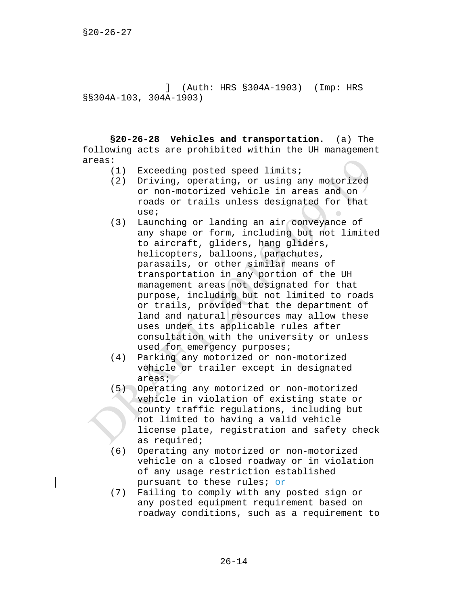] (Auth: HRS §304A-1903) (Imp: HRS §§304A-103, 304A-1903)

**§20-26-28 Vehicles and transportation.** (a) The following acts are prohibited within the UH management areas:

- (1) Exceeding posted speed limits;
- (2) Driving, operating, or using any motorized or non-motorized vehicle in areas and on roads or trails unless designated for that use;
- (3) Launching or landing an air conveyance of any shape or form, including but not limited to aircraft, gliders, hang gliders, helicopters, balloons, parachutes, parasails, or other similar means of transportation in any portion of the UH management areas not designated for that purpose, including but not limited to roads or trails, provided that the department of land and natural resources may allow these uses under its applicable rules after consultation with the university or unless used for emergency purposes;
- (4) Parking any motorized or non-motorized vehicle or trailer except in designated areas;
- (5) Operating any motorized or non-motorized vehicle in violation of existing state or county traffic regulations, including but not limited to having a valid vehicle license plate, registration and safety check as required;
- (6) Operating any motorized or non-motorized vehicle on a closed roadway or in violation of any usage restriction established pursuant to these rules; $-$ or
- (7) Failing to comply with any posted sign or any posted equipment requirement based on roadway conditions, such as a requirement to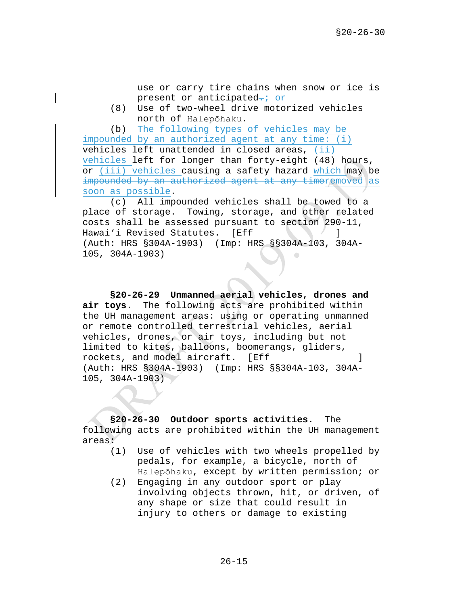use or carry tire chains when snow or ice is present or anticipated-; or

(8) Use of two-wheel drive motorized vehicles north of Halepōhaku.

(b) The following types of vehicles may be impounded by an authorized agent at any time: (i)

vehicles left unattended in closed areas, (ii) vehicles left for longer than forty-eight (48) hours, or (iii) vehicles causing a safety hazard which may be impounded by an authorized agent at any timeremoved as soon as possible.

(c) All impounded vehicles shall be towed to a place of storage. Towing, storage, and other related costs shall be assessed pursuant to section 290-11, Hawai'i Revised Statutes. [Eff ] (Auth: HRS §304A-1903) (Imp: HRS §§304A-103, 304A-105, 304A-1903)  $\sqrt{2}$ 

**§20-26-29 Unmanned aerial vehicles, drones and air toys**. The following acts are prohibited within the UH management areas: using or operating unmanned or remote controlled terrestrial vehicles, aerial vehicles, drones, or air toys, including but not limited to kites, balloons, boomerangs, gliders, rockets, and model aircraft. [Eff ] (Auth: HRS §304A-1903) (Imp: HRS §§304A-103, 304A-105, 304A-1903)

**§20-26-30 Outdoor sports activities**. The following acts are prohibited within the UH management areas:

- (1) Use of vehicles with two wheels propelled by pedals, for example, a bicycle, north of Halepōhaku, except by written permission; or
- (2) Engaging in any outdoor sport or play involving objects thrown, hit, or driven, of any shape or size that could result in injury to others or damage to existing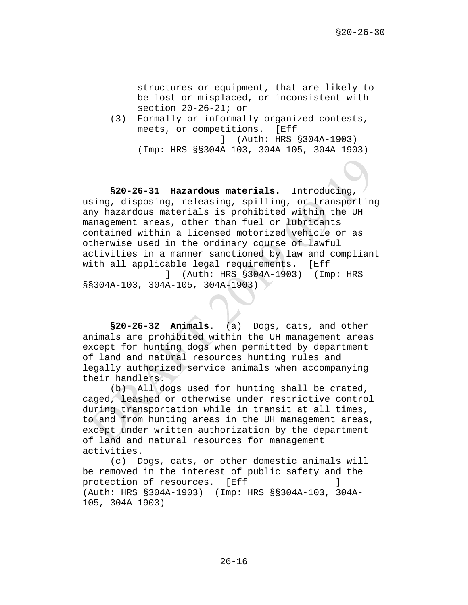structures or equipment, that are likely to be lost or misplaced, or inconsistent with section 20-26-21; or

(3) Formally or informally organized contests, meets, or competitions. [Eff ] (Auth: HRS §304A-1903) (Imp: HRS §§304A-103, 304A-105, 304A-1903)

**§20-26-31 Hazardous materials.** Introducing, using, disposing, releasing, spilling, or transporting any hazardous materials is prohibited within the UH management areas, other than fuel or lubricants contained within a licensed motorized vehicle or as otherwise used in the ordinary course of lawful activities in a manner sanctioned by law and compliant with all applicable legal requirements. [Eff ] (Auth: HRS §304A-1903) (Imp: HRS

§§304A-103, 304A-105, 304A-1903)

**§20-26-32 Animals.** (a) Dogs, cats, and other animals are prohibited within the UH management areas except for hunting dogs when permitted by department of land and natural resources hunting rules and legally authorized service animals when accompanying their handlers.

(b) All dogs used for hunting shall be crated, caged, leashed or otherwise under restrictive control during transportation while in transit at all times, to and from hunting areas in the UH management areas, except under written authorization by the department of land and natural resources for management activities.

(c) Dogs, cats, or other domestic animals will be removed in the interest of public safety and the protection of resources. [Eff [199] (Auth: HRS §304A-1903) (Imp: HRS §§304A-103, 304A-105, 304A-1903)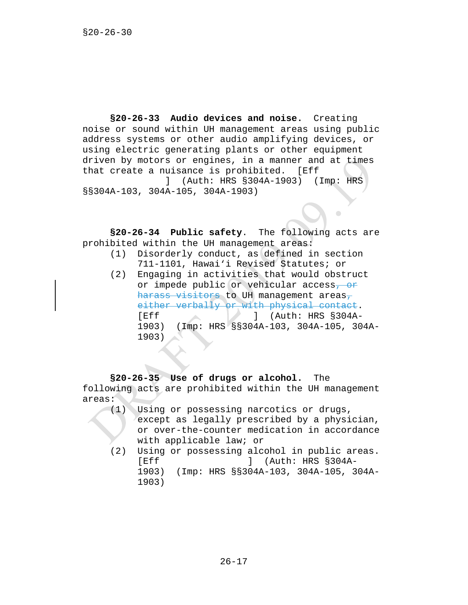**§20-26-33 Audio devices and noise.** Creating noise or sound within UH management areas using public address systems or other audio amplifying devices, or using electric generating plants or other equipment driven by motors or engines, in a manner and at times that create a nuisance is prohibited. [Eff ] (Auth: HRS §304A-1903) (Imp: HRS §§304A-103, 304A-105, 304A-1903)

**§20-26-34 Public safety**. The following acts are prohibited within the UH management areas:

- (1) Disorderly conduct, as defined in section 711-1101, Hawai'i Revised Statutes; or
- (2) Engaging in activities that would obstruct or impede public or vehicular access, or harass visitors to UH management areas, either verbally or with physical contact.<br>[Eff  $\qquad$ ] (Auth: HRS §304A- $]$  (Auth: HRS §304A-1903) (Imp: HRS §§304A-103, 304A-105, 304A-1903)

**§20-26-35 Use of drugs or alcohol.** The following acts are prohibited within the UH management areas:

- (1) Using or possessing narcotics or drugs, except as legally prescribed by a physician, or over-the-counter medication in accordance with applicable law; or
- (2) Using or possessing alcohol in public areas.<br>
[Eff | (Auth: HRS \$304A- $]$  (Auth: HRS §304A-1903) (Imp: HRS §§304A-103, 304A-105, 304A-1903)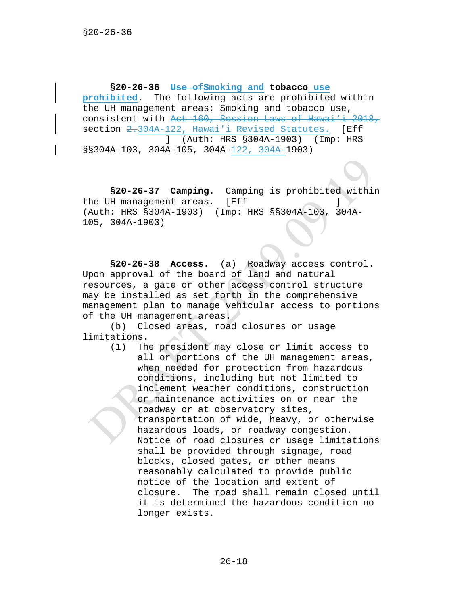**§20-26-36 Use ofSmoking and tobacco use prohibited**. The following acts are prohibited within the UH management areas: Smoking and tobacco use, consistent with Act 160, Session Laws of Hawai'i 2018, section 2.304A-122, Hawai'i Revised Statutes. [Eff ] (Auth: HRS §304A-1903) (Imp: HRS §§304A-103, 304A-105, 304A-122, 304A-1903)

**§20-26-37 Camping.** Camping is prohibited within the UH management areas. [Eff ] (Auth: HRS §304A-1903) (Imp: HRS §§304A-103, 304A-105, 304A-1903)

**§20-26-38 Access.** (a) Roadway access control. Upon approval of the board of land and natural resources, a gate or other access control structure may be installed as set forth in the comprehensive management plan to manage vehicular access to portions of the UH management areas.

(b) Closed areas, road closures or usage limitations.

> (1) The president may close or limit access to all or portions of the UH management areas, when needed for protection from hazardous conditions, including but not limited to inclement weather conditions, construction or maintenance activities on or near the roadway or at observatory sites, transportation of wide, heavy, or otherwise hazardous loads, or roadway congestion. Notice of road closures or usage limitations shall be provided through signage, road blocks, closed gates, or other means reasonably calculated to provide public notice of the location and extent of closure. The road shall remain closed until it is determined the hazardous condition no longer exists.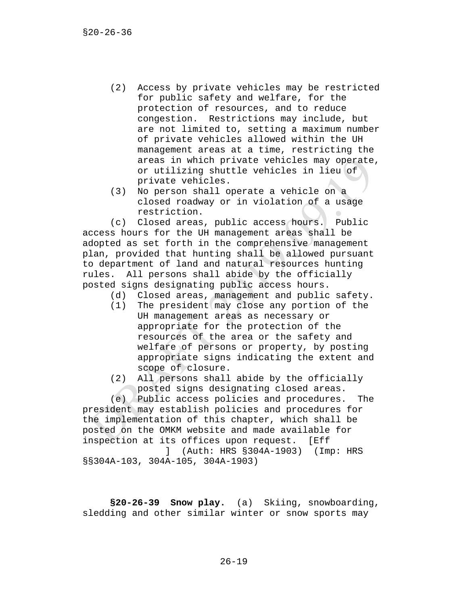- (2) Access by private vehicles may be restricted for public safety and welfare, for the protection of resources, and to reduce congestion. Restrictions may include, but are not limited to, setting a maximum number of private vehicles allowed within the UH management areas at a time, restricting the areas in which private vehicles may operate, or utilizing shuttle vehicles in lieu of private vehicles.
- (3) No person shall operate a vehicle on a closed roadway or in violation of a usage restriction.

(c) Closed areas, public access hours. Public access hours for the UH management areas shall be adopted as set forth in the comprehensive management plan, provided that hunting shall be allowed pursuant to department of land and natural resources hunting rules. All persons shall abide by the officially posted signs designating public access hours.

- (d) Closed areas, management and public safety.<br>(1) The president may close any portion of the
- The president may close any portion of the UH management areas as necessary or appropriate for the protection of the resources of the area or the safety and welfare of persons or property, by posting appropriate signs indicating the extent and scope of closure.
- (2) All persons shall abide by the officially posted signs designating closed areas.

(e) Public access policies and procedures. The president may establish policies and procedures for the implementation of this chapter, which shall be posted on the OMKM website and made available for inspection at its offices upon request. [Eff

 ] (Auth: HRS §304A-1903) (Imp: HRS §§304A-103, 304A-105, 304A-1903)

**§20-26-39 Snow play.** (a) Skiing, snowboarding, sledding and other similar winter or snow sports may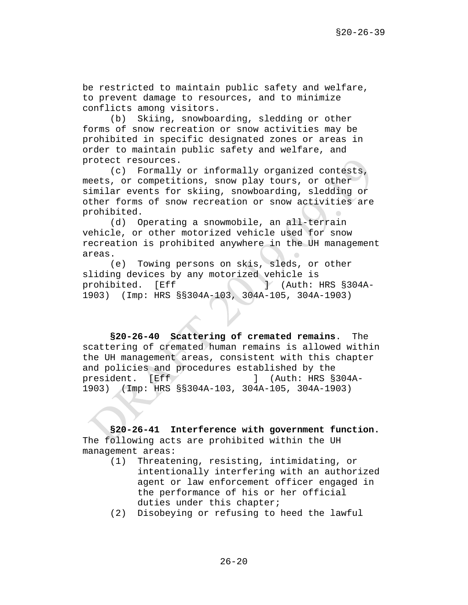be restricted to maintain public safety and welfare, to prevent damage to resources, and to minimize conflicts among visitors.

(b) Skiing, snowboarding, sledding or other forms of snow recreation or snow activities may be prohibited in specific designated zones or areas in order to maintain public safety and welfare, and protect resources.

(c) Formally or informally organized contests, meets, or competitions, snow play tours, or other similar events for skiing, snowboarding, sledding or other forms of snow recreation or snow activities are prohibited.

(d) Operating a snowmobile, an all-terrain vehicle, or other motorized vehicle used for snow recreation is prohibited anywhere in the UH management areas.

(e) Towing persons on skis, sleds, or other sliding devices by any motorized vehicle is<br>prohibited. [Eff ] (Auth: I prohibited. [Eff ] (Auth: HRS §304A-1903) (Imp: HRS §§304A-103, 304A-105, 304A-1903)

**§20-26-40 Scattering of cremated remains**. The scattering of cremated human remains is allowed within the UH management areas, consistent with this chapter and policies and procedures established by the<br>president. [Eff ] (Auth: HRS §  $j$  (Auth: HRS §304A-1903) (Imp: HRS §§304A-103, 304A-105, 304A-1903)

**§20-26-41 Interference with government function.** The following acts are prohibited within the UH management areas:<br>(1) Threate

- (1) Threatening, resisting, intimidating, or intentionally interfering with an authorized agent or law enforcement officer engaged in the performance of his or her official duties under this chapter;
- (2) Disobeying or refusing to heed the lawful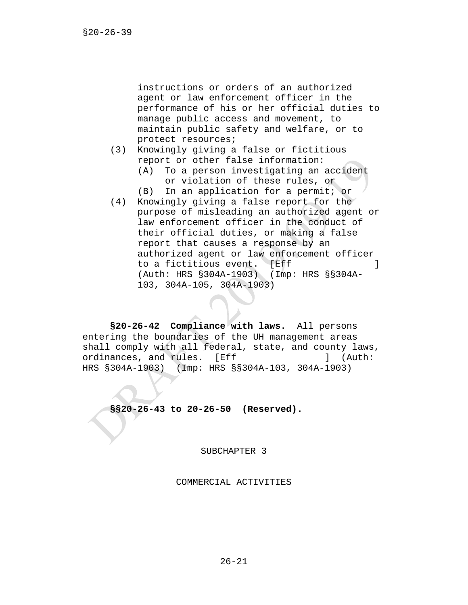instructions or orders of an authorized agent or law enforcement officer in the performance of his or her official duties to manage public access and movement, to maintain public safety and welfare, or to protect resources;

- (3) Knowingly giving a false or fictitious report or other false information: (A) To a person investigating an accident
	- or violation of these rules, or
	- (B) In an application for a permit; or
- (4) Knowingly giving a false report for the purpose of misleading an authorized agent or law enforcement officer in the conduct of their official duties, or making a false report that causes a response by an authorized agent or law enforcement officer to a fictitious event. [Eff **]** (Auth: HRS §304A-1903) (Imp: HRS §§304A-103, 304A-105, 304A-1903)

**§20-26-42 Compliance with laws.** All persons entering the boundaries of the UH management areas shall comply with all federal, state, and county laws,<br>ordinances, and rules. [Eff [11] (Auth: ordinances, and rules. [Eff HRS §304A-1903) (Imp: HRS §§304A-103, 304A-1903)

**§§20-26-43 to 20-26-50 (Reserved).**

SUBCHAPTER 3

COMMERCIAL ACTIVITIES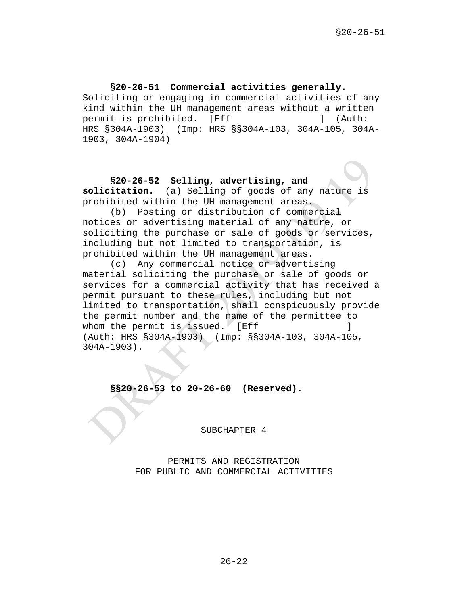### **§20-26-51 Commercial activities generally.** Soliciting or engaging in commercial activities of any kind within the UH management areas without a written<br>permit is prohibited. [Eff [11] (Auth: permit is prohibited. [Eff  $\qquad$ ] HRS §304A-1903) (Imp: HRS §§304A-103, 304A-105, 304A-1903, 304A-1904)

**§20-26-52 Selling, advertising, and solicitation.** (a) Selling of goods of any nature is prohibited within the UH management areas.

(b) Posting or distribution of commercial notices or advertising material of any nature, or soliciting the purchase or sale of goods or services, including but not limited to transportation, is prohibited within the UH management areas.

(c) Any commercial notice or advertising material soliciting the purchase or sale of goods or services for a commercial activity that has received a permit pursuant to these rules, including but not limited to transportation, shall conspicuously provide the permit number and the name of the permittee to whom the permit is issued. [Eff (Auth: HRS §304A-1903) (Imp: §§304A-103, 304A-105, 304A-1903).

**§§20-26-53 to 20-26-60 (Reserved).**

SUBCHAPTER 4

PERMITS AND REGISTRATION FOR PUBLIC AND COMMERCIAL ACTIVITIES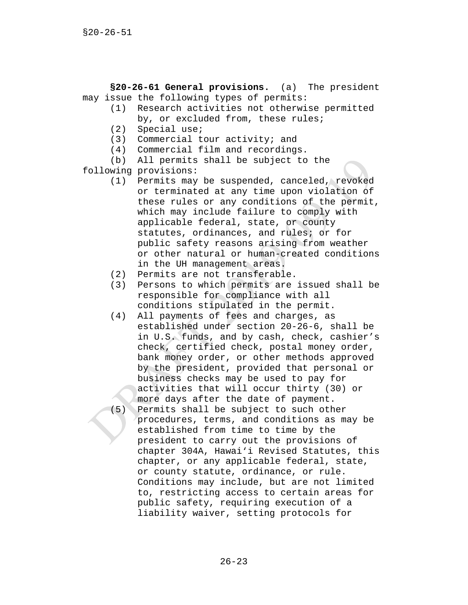**§20-26-61 General provisions.** (a) The president may issue the following types of permits:<br>(1) Research activities not otherwi

- Research activities not otherwise permitted by, or excluded from, these rules;
	- (2) Special use;
	- (3) Commercial tour activity; and
	- (4) Commercial film and recordings.

(b) All permits shall be subject to the following provisions:

- (1) Permits may be suspended, canceled, revoked or terminated at any time upon violation of these rules or any conditions of the permit, which may include failure to comply with applicable federal, state, or county statutes, ordinances, and rules; or for public safety reasons arising from weather or other natural or human-created conditions in the UH management areas.
- (2) Permits are not transferable.
- (3) Persons to which permits are issued shall be responsible for compliance with all conditions stipulated in the permit.
- (4) All payments of fees and charges, as established under section 20-26-6, shall be in U.S. funds, and by cash, check, cashier's check, certified check, postal money order, bank money order, or other methods approved by the president, provided that personal or business checks may be used to pay for activities that will occur thirty (30) or more days after the date of payment. (5) Permits shall be subject to such other
	- procedures, terms, and conditions as may be established from time to time by the president to carry out the provisions of chapter 304A, Hawai'i Revised Statutes, this chapter, or any applicable federal, state, or county statute, ordinance, or rule. Conditions may include, but are not limited to, restricting access to certain areas for public safety, requiring execution of a liability waiver, setting protocols for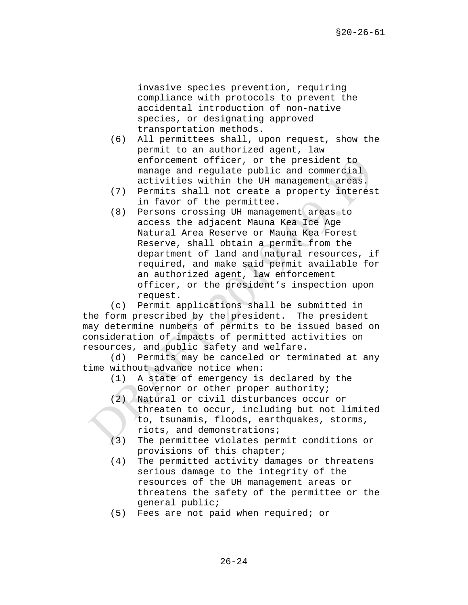invasive species prevention, requiring compliance with protocols to prevent the accidental introduction of non-native species, or designating approved transportation methods.

- (6) All permittees shall, upon request, show the permit to an authorized agent, law enforcement officer, or the president to manage and regulate public and commercial activities within the UH management areas.
- (7) Permits shall not create a property interest in favor of the permittee.
- (8) Persons crossing UH management areas to access the adjacent Mauna Kea Ice Age Natural Area Reserve or Mauna Kea Forest Reserve, shall obtain a permit from the department of land and natural resources, if required, and make said permit available for an authorized agent, law enforcement officer, or the president's inspection upon request.

(c) Permit applications shall be submitted in the form prescribed by the president. The president may determine numbers of permits to be issued based on consideration of impacts of permitted activities on resources, and public safety and welfare.

(d) Permits may be canceled or terminated at any time without advance notice when:

- (1) A state of emergency is declared by the Governor or other proper authority;
- (2) Natural or civil disturbances occur or threaten to occur, including but not limited to, tsunamis, floods, earthquakes, storms, riots, and demonstrations;
- (3) The permittee violates permit conditions or provisions of this chapter;
- (4) The permitted activity damages or threatens serious damage to the integrity of the resources of the UH management areas or threatens the safety of the permittee or the general public;
- (5) Fees are not paid when required; or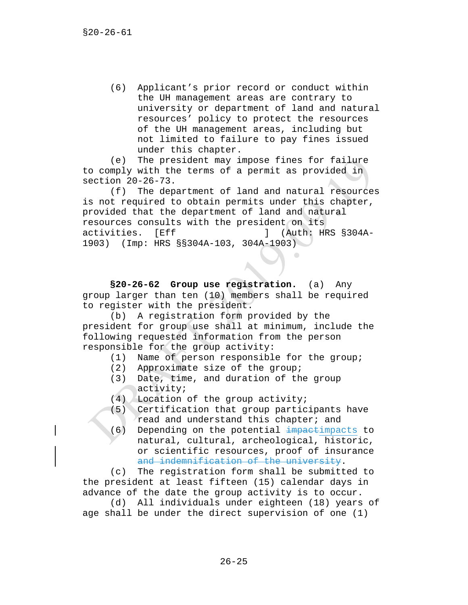(6) Applicant's prior record or conduct within the UH management areas are contrary to university or department of land and natural resources' policy to protect the resources of the UH management areas, including but not limited to failure to pay fines issued under this chapter.

(e) The president may impose fines for failure to comply with the terms of a permit as provided in section 20-26-73.

(f) The department of land and natural resources is not required to obtain permits under this chapter, provided that the department of land and natural resources consults with the president on its<br>activities. [Eff ] (Auth: H] [Eff ] (Auth: HRS §304A-1903) (Imp: HRS §§304A-103, 304A-1903)

 $\sim$ 

**§20-26-62 Group use registration.** (a) Any group larger than ten (10) members shall be required to register with the president.

(b) A registration form provided by the president for group use shall at minimum, include the following requested information from the person responsible for the group activity:

- (1) Name of person responsible for the group;<br>(2) Approximate size of the group;
- Approximate size of the group;
- (3) Date, time, and duration of the group activity;
- (4) Location of the group activity;
- (5) Certification that group participants have read and understand this chapter; and
- (6) Depending on the potential impactimpacts to natural, cultural, archeological, historic, or scientific resources, proof of insurance and indemnification of the university.

(c) The registration form shall be submitted to the president at least fifteen (15) calendar days in advance of the date the group activity is to occur.

(d) All individuals under eighteen (18) years of age shall be under the direct supervision of one (1)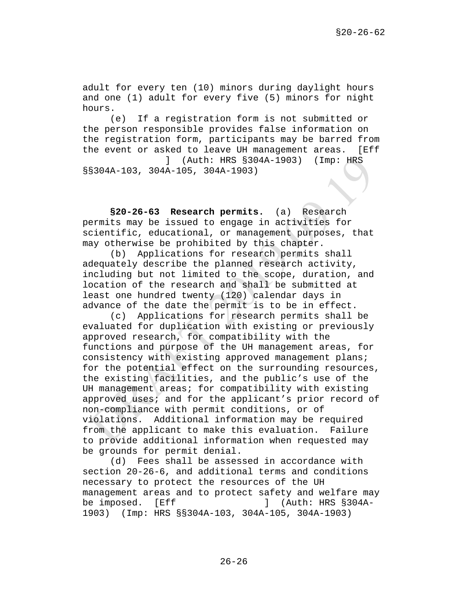adult for every ten (10) minors during daylight hours and one (1) adult for every five (5) minors for night hours.

(e) If a registration form is not submitted or the person responsible provides false information on the registration form, participants may be barred from the event or asked to leave UH management areas. [Eff ] (Auth: HRS §304A-1903) (Imp: HRS §§304A-103, 304A-105, 304A-1903)

**§20-26-63 Research permits.** (a) Research permits may be issued to engage in activities for scientific, educational, or management purposes, that may otherwise be prohibited by this chapter.

(b) Applications for research permits shall adequately describe the planned research activity, including but not limited to the scope, duration, and location of the research and shall be submitted at least one hundred twenty (120) calendar days in advance of the date the permit is to be in effect.

(c) Applications for research permits shall be evaluated for duplication with existing or previously approved research, for compatibility with the functions and purpose of the UH management areas, for consistency with existing approved management plans; for the potential effect on the surrounding resources, the existing facilities, and the public's use of the UH management areas; for compatibility with existing approved uses; and for the applicant's prior record of non-compliance with permit conditions, or of violations. Additional information may be required from the applicant to make this evaluation. Failure to provide additional information when requested may be grounds for permit denial.

(d) Fees shall be assessed in accordance with section 20-26-6, and additional terms and conditions necessary to protect the resources of the UH management areas and to protect safety and welfare may<br>be imposed. [Eff ] (Auth: HRS §304A- $J$  (Auth: HRS §304A-1903) (Imp: HRS §§304A-103, 304A-105, 304A-1903)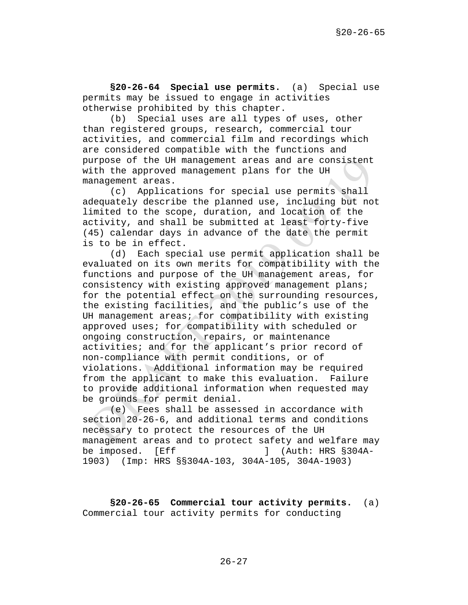**§20-26-64 Special use permits.** (a) Special use permits may be issued to engage in activities otherwise prohibited by this chapter.

(b) Special uses are all types of uses, other than registered groups, research, commercial tour activities, and commercial film and recordings which are considered compatible with the functions and purpose of the UH management areas and are consistent with the approved management plans for the UH management areas.

(c) Applications for special use permits shall adequately describe the planned use, including but not limited to the scope, duration, and location of the activity, and shall be submitted at least forty-five (45) calendar days in advance of the date the permit is to be in effect.

(d) Each special use permit application shall be evaluated on its own merits for compatibility with the functions and purpose of the UH management areas, for consistency with existing approved management plans; for the potential effect on the surrounding resources, the existing facilities, and the public's use of the UH management areas; for compatibility with existing approved uses; for compatibility with scheduled or ongoing construction, repairs, or maintenance activities; and for the applicant's prior record of non-compliance with permit conditions, or of violations. Additional information may be required from the applicant to make this evaluation. Failure to provide additional information when requested may be grounds for permit denial.

(e) Fees shall be assessed in accordance with section 20-26-6, and additional terms and conditions necessary to protect the resources of the UH management areas and to protect safety and welfare may<br>be imposed. [Eff ] (Auth: HRS §304A- $\vert$  (Auth: HRS §304A-1903) (Imp: HRS §§304A-103, 304A-105, 304A-1903)

**§20-26-65 Commercial tour activity permits.** (a) Commercial tour activity permits for conducting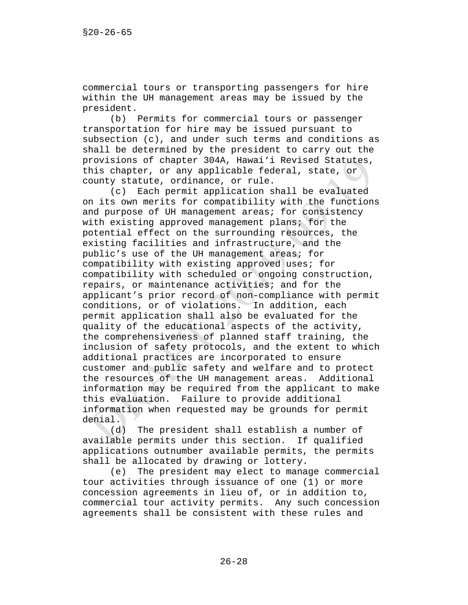commercial tours or transporting passengers for hire within the UH management areas may be issued by the president.<br>(b)

Permits for commercial tours or passenger transportation for hire may be issued pursuant to subsection (c), and under such terms and conditions as shall be determined by the president to carry out the provisions of chapter 304A, Hawai'i Revised Statutes, this chapter, or any applicable federal, state, or county statute, ordinance, or rule.

(c) Each permit application shall be evaluated on its own merits for compatibility with the functions and purpose of UH management areas; for consistency with existing approved management plans; for the potential effect on the surrounding resources, the existing facilities and infrastructure, and the public's use of the UH management areas; for compatibility with existing approved uses; for compatibility with scheduled or ongoing construction, repairs, or maintenance activities; and for the applicant's prior record of non-compliance with permit conditions, or of violations. In addition, each permit application shall also be evaluated for the quality of the educational aspects of the activity, the comprehensiveness of planned staff training, the inclusion of safety protocols, and the extent to which additional practices are incorporated to ensure customer and public safety and welfare and to protect the resources of the UH management areas. Additional information may be required from the applicant to make this evaluation. Failure to provide additional information when requested may be grounds for permit denial.<br> $(d)$ 

The president shall establish a number of available permits under this section. If qualified applications outnumber available permits, the permits shall be allocated by drawing or lottery.

(e) The president may elect to manage commercial tour activities through issuance of one (1) or more concession agreements in lieu of, or in addition to, commercial tour activity permits. Any such concession agreements shall be consistent with these rules and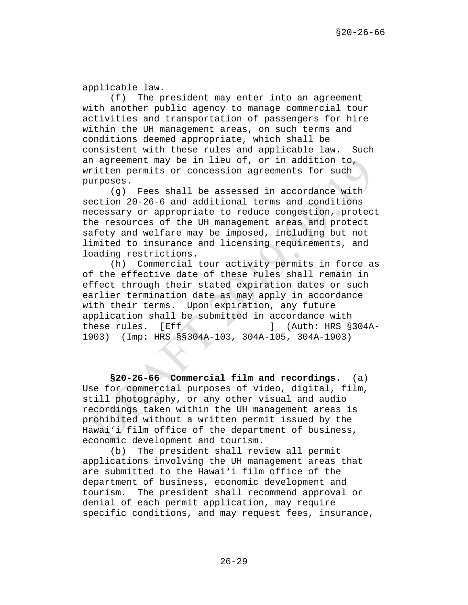applicable law.

(f) The president may enter into an agreement with another public agency to manage commercial tour activities and transportation of passengers for hire within the UH management areas, on such terms and conditions deemed appropriate, which shall be consistent with these rules and applicable law. Such an agreement may be in lieu of, or in addition to, written permits or concession agreements for such purposes.

(g) Fees shall be assessed in accordance with section 20-26-6 and additional terms and conditions necessary or appropriate to reduce congestion, protect the resources of the UH management areas and protect safety and welfare may be imposed, including but not limited to insurance and licensing requirements, and loading restrictions.

(h) Commercial tour activity permits in force as of the effective date of these rules shall remain in effect through their stated expiration dates or such earlier termination date as may apply in accordance with their terms. Upon expiration, any future application shall be submitted in accordance with these rules. [Eff ] (Auth: HRS §304A-1903) (Imp: HRS §§304A-103, 304A-105, 304A-1903)

**§20-26-66 Commercial film and recordings.** (a) Use for commercial purposes of video, digital, film, still photography, or any other visual and audio recordings taken within the UH management areas is prohibited without a written permit issued by the Hawai'i film office of the department of business, economic development and tourism.

(b) The president shall review all permit applications involving the UH management areas that are submitted to the Hawai'i film office of the department of business, economic development and tourism. The president shall recommend approval or denial of each permit application, may require specific conditions, and may request fees, insurance,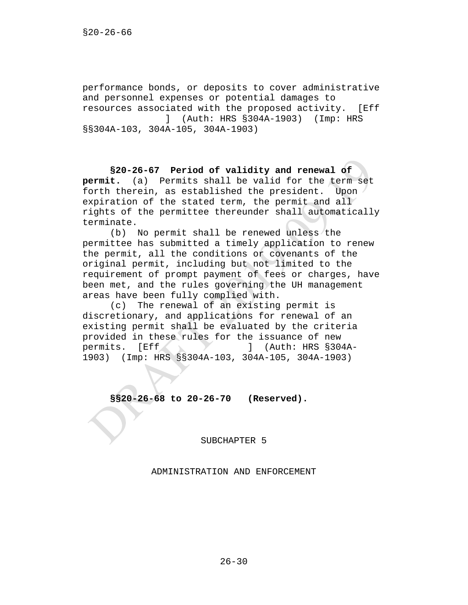performance bonds, or deposits to cover administrative and personnel expenses or potential damages to resources associated with the proposed activity. [Eff ] (Auth: HRS §304A-1903) (Imp: HRS §§304A-103, 304A-105, 304A-1903)

**§20-26-67 Period of validity and renewal of permit.** (a) Permits shall be valid for the term set forth therein, as established the president. Upon expiration of the stated term, the permit and all rights of the permittee thereunder shall automatically terminate.

(b) No permit shall be renewed unless the permittee has submitted a timely application to renew the permit, all the conditions or covenants of the original permit, including but not limited to the requirement of prompt payment of fees or charges, have been met, and the rules governing the UH management areas have been fully complied with.

(c) The renewal of an existing permit is discretionary, and applications for renewal of an existing permit shall be evaluated by the criteria provided in these rules for the issuance of new<br>permits. [Eff [11] (Auth: HRS \$30]  $j$  (Auth: HRS §304A-1903) (Imp: HRS §§304A-103, 304A-105, 304A-1903)

**§§20-26-68 to 20-26-70 (Reserved).**

SUBCHAPTER 5

ADMINISTRATION AND ENFORCEMENT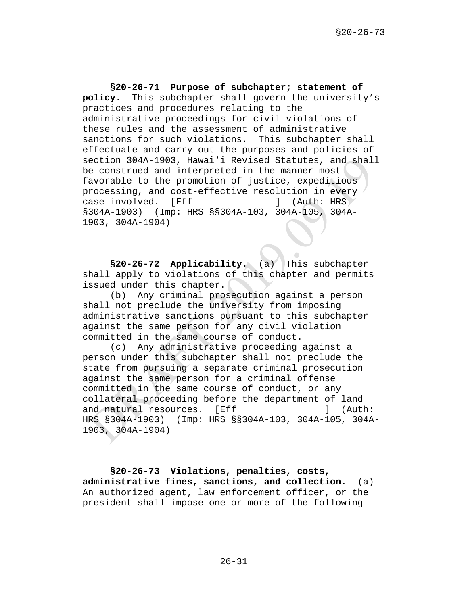**§20-26-71 Purpose of subchapter; statement of policy.** This subchapter shall govern the university's practices and procedures relating to the administrative proceedings for civil violations of these rules and the assessment of administrative sanctions for such violations. This subchapter shall effectuate and carry out the purposes and policies of section 304A-1903, Hawai'i Revised Statutes, and shall be construed and interpreted in the manner most favorable to the promotion of justice, expeditious processing, and cost-effective resolution in every<br>case involved. [Eff ] (Auth: HRS case involved. [Eff ] §304A-1903) (Imp: HRS §§304A-103, 304A-105, 304A-1903, 304A-1904)

**§20-26-72 Applicability.** (a) This subchapter shall apply to violations of this chapter and permits issued under this chapter.

(b) Any criminal prosecution against a person shall not preclude the university from imposing administrative sanctions pursuant to this subchapter against the same person for any civil violation committed in the same course of conduct.

(c) Any administrative proceeding against a person under this subchapter shall not preclude the state from pursuing a separate criminal prosecution against the same person for a criminal offense committed in the same course of conduct, or any collateral proceeding before the department of land and natural resources. [Eff ] (Auth: HRS §304A-1903) (Imp: HRS §§304A-103, 304A-105, 304A-1903, 304A-1904)

**§20-26-73 Violations, penalties, costs, administrative fines, sanctions, and collection.** (a) An authorized agent, law enforcement officer, or the president shall impose one or more of the following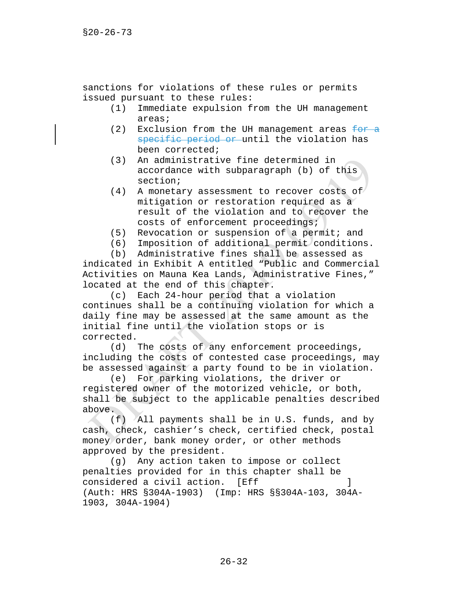sanctions for violations of these rules or permits issued pursuant to these rules:<br>(1) Immediate expulsion f

- Immediate expulsion from the UH management areas;
- (2) Exclusion from the UH management areas  $\frac{f}{f}$ specific period or until the violation has been corrected;
- (3) An administrative fine determined in accordance with subparagraph (b) of this section;
- (4) A monetary assessment to recover costs of mitigation or restoration required as a result of the violation and to recover the costs of enforcement proceedings;
- (5) Revocation or suspension of a permit; and
- (6) Imposition of additional permit conditions.

(b) Administrative fines shall be assessed as indicated in Exhibit A entitled "Public and Commercial Activities on Mauna Kea Lands, Administrative Fines," located at the end of this chapter.

(c) Each 24-hour period that a violation continues shall be a continuing violation for which a daily fine may be assessed at the same amount as the initial fine until the violation stops or is corrected.

(d) The costs of any enforcement proceedings, including the costs of contested case proceedings, may be assessed against a party found to be in violation.

(e) For parking violations, the driver or registered owner of the motorized vehicle, or both, shall be subject to the applicable penalties described above.

(f) All payments shall be in U.S. funds, and by cash, check, cashier's check, certified check, postal money order, bank money order, or other methods approved by the president.

(g) Any action taken to impose or collect penalties provided for in this chapter shall be considered a civil action. [Eff  $\qquad \qquad$  ] (Auth: HRS §304A-1903) (Imp: HRS §§304A-103, 304A-1903, 304A-1904)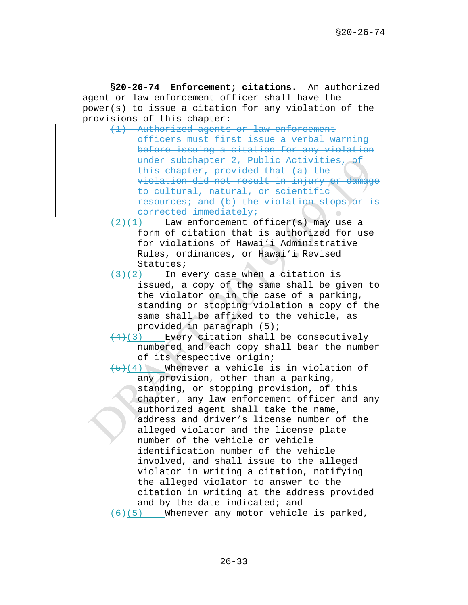**§20-26-74 Enforcement; citations.** An authorized agent or law enforcement officer shall have the power(s) to issue a citation for any violation of the provisions of this chapter:

(1) Authorized agents or law enforcement officers must first issue a verbal warning before issuing a citation for any violation under subchapter 2, Public Activities, of this chapter, provided that (a) the violation did not result in injury or damage to cultural, natural, or scientific resources; and (b) the violation stops or is corrected immediately;

- $\left(\frac{2}{2}\right)(1)$  Law enforcement officer(s) may use a form of citation that is authorized for use for violations of Hawai'i Administrative Rules, ordinances, or Hawai'i Revised Statutes;
- $\left(\frac{1}{2}\right)(2)$  In every case when a citation is issued, a copy of the same shall be given to the violator or in the case of a parking, standing or stopping violation a copy of the same shall be affixed to the vehicle, as provided in paragraph (5);
- $(4)(3)$  Every citation shall be consecutively numbered and each copy shall bear the number of its respective origin;

 $(5)(4)$  Whenever a vehicle is in violation of any provision, other than a parking, standing, or stopping provision, of this chapter, any law enforcement officer and any authorized agent shall take the name, address and driver's license number of the alleged violator and the license plate number of the vehicle or vehicle identification number of the vehicle involved, and shall issue to the alleged violator in writing a citation, notifying the alleged violator to answer to the citation in writing at the address provided and by the date indicated; and  $(6)(5)$  Whenever any motor vehicle is parked,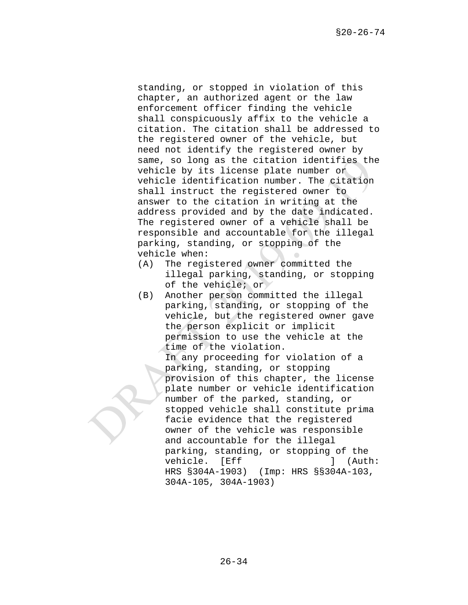standing, or stopped in violation of this chapter, an authorized agent or the law enforcement officer finding the vehicle shall conspicuously affix to the vehicle a citation. The citation shall be addressed to the registered owner of the vehicle, but need not identify the registered owner by same, so long as the citation identifies the vehicle by its license plate number or vehicle identification number. The citation shall instruct the registered owner to answer to the citation in writing at the address provided and by the date indicated. The registered owner of a vehicle shall be responsible and accountable for the illegal parking, standing, or stopping of the vehicle when:

- (A) The registered owner committed the illegal parking, standing, or stopping of the vehicle; or
- (B) Another person committed the illegal parking, standing, or stopping of the vehicle, but the registered owner gave the person explicit or implicit permission to use the vehicle at the time of the violation.

In any proceeding for violation of a parking, standing, or stopping provision of this chapter, the license plate number or vehicle identification number of the parked, standing, or stopped vehicle shall constitute prima facie evidence that the registered owner of the vehicle was responsible and accountable for the illegal parking, standing, or stopping of the<br>vehicle. [Eff ] (Auth: vehicle. [Eff ] ] HRS §304A-1903) (Imp: HRS §§304A-103, 304A-105, 304A-1903)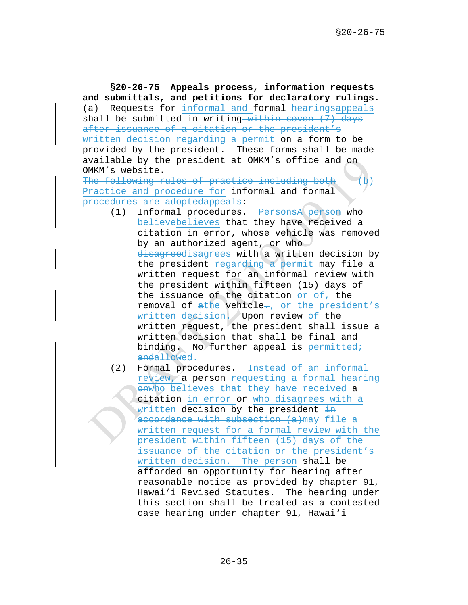**§20-26-75 Appeals process, information requests and submittals, and petitions for declaratory rulings.** (a) Requests for informal and formal hearingsappeals shall be submitted in writing within seven (7) days after issuance of a citation or the president's written decision regarding a permit on a form to be provided by the president. These forms shall be made available by the president at OMKM's office and on OMKM's website.

The following rules of practice including both (b) Practice and procedure for informal and formal procedures are adoptedappeals:

- (1) Informal procedures. PersonsA person who believebelieves that they have received a citation in error, whose vehicle was removed by an authorized agent, or who disagreedisagrees with a written decision by the president regarding a permit may file a written request for an informal review with the president within fifteen (15) days of the issuance of the citation- $o\mathbf{r}$  of, the removal of  $athe$  vehicle-, or the president's written decision. Upon review of the written request, the president shall issue a written decision that shall be final and binding. No further appeal is permitted; andallowed.
- (2) Formal procedures. Instead of an informal review, a person requesting a formal hearing onwho believes that they have received a citation in error or who disagrees with a written decision by the president  $\frac{1}{2}$ accordance with subsection (a) may file a written request for a formal review with the president within fifteen (15) days of the issuance of the citation or the president's written decision. The person shall be afforded an opportunity for hearing after reasonable notice as provided by chapter 91, Hawai'i Revised Statutes. The hearing under this section shall be treated as a contested case hearing under chapter 91, Hawai'i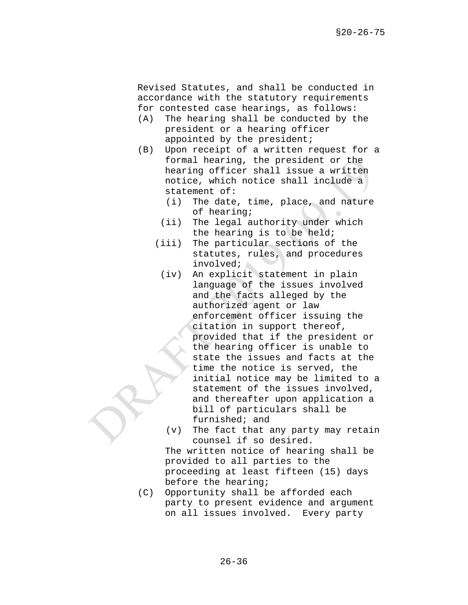Revised Statutes, and shall be conducted in accordance with the statutory requirements for contested case hearings, as follows:

- (A) The hearing shall be conducted by the president or a hearing officer appointed by the president;
- (B) Upon receipt of a written request for a formal hearing, the president or the hearing officer shall issue a written notice, which notice shall include a statement of:
	- (i) The date, time, place, and nature of hearing;
	- (ii) The legal authority under which the hearing is to be held;
	- (iii) The particular sections of the statutes, rules, and procedures involved; A
		- (iv) An explicit statement in plain language of the issues involved and the facts alleged by the authorized agent or law enforcement officer issuing the citation in support thereof, provided that if the president or the hearing officer is unable to state the issues and facts at the time the notice is served, the initial notice may be limited to a statement of the issues involved, and thereafter upon application a bill of particulars shall be furnished; and
		- (v) The fact that any party may retain counsel if so desired. The written notice of hearing shall be provided to all parties to the

proceeding at least fifteen (15) days before the hearing;

(C) Opportunity shall be afforded each party to present evidence and argument on all issues involved. Every party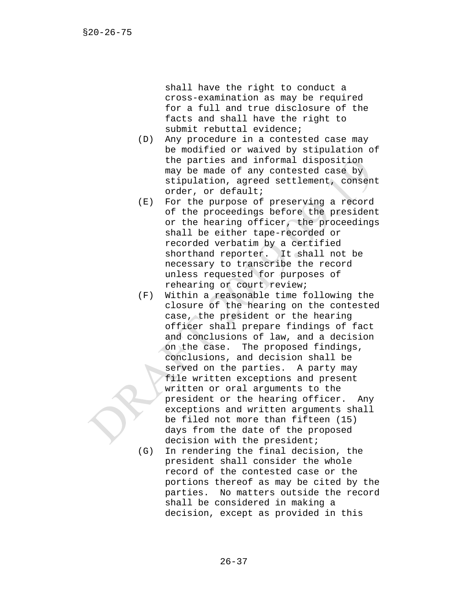shall have the right to conduct a cross-examination as may be required for a full and true disclosure of the facts and shall have the right to submit rebuttal evidence;

- (D) Any procedure in a contested case may be modified or waived by stipulation of the parties and informal disposition may be made of any contested case by stipulation, agreed settlement, consent order, or default;
- (E) For the purpose of preserving a record of the proceedings before the president or the hearing officer, the proceedings shall be either tape-recorded or recorded verbatim by a certified shorthand reporter. It shall not be necessary to transcribe the record unless requested for purposes of rehearing or court review;
- (F) Within a reasonable time following the closure of the hearing on the contested case, the president or the hearing officer shall prepare findings of fact and conclusions of law, and a decision on the case. The proposed findings, conclusions, and decision shall be served on the parties. A party may file written exceptions and present written or oral arguments to the president or the hearing officer. Any exceptions and written arguments shall be filed not more than fifteen (15) days from the date of the proposed decision with the president;
- (G) In rendering the final decision, the president shall consider the whole record of the contested case or the portions thereof as may be cited by the parties. No matters outside the record shall be considered in making a decision, except as provided in this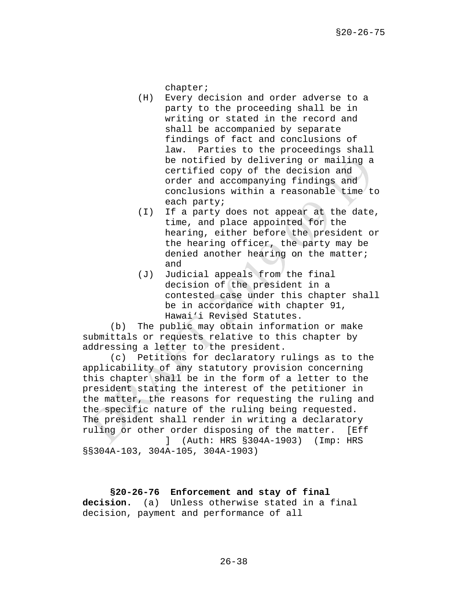chapter;

- (H) Every decision and order adverse to a party to the proceeding shall be in writing or stated in the record and shall be accompanied by separate findings of fact and conclusions of law. Parties to the proceedings shall be notified by delivering or mailing a certified copy of the decision and order and accompanying findings and conclusions within a reasonable time to each party;
- (I) If a party does not appear at the date, time, and place appointed for the hearing, either before the president or the hearing officer, the party may be denied another hearing on the matter; and
- (J) Judicial appeals from the final decision of the president in a contested case under this chapter shall be in accordance with chapter 91, Hawai'i Revised Statutes.

(b) The public may obtain information or make submittals or requests relative to this chapter by addressing a letter to the president.

(c) Petitions for declaratory rulings as to the applicability of any statutory provision concerning this chapter shall be in the form of a letter to the president stating the interest of the petitioner in the matter, the reasons for requesting the ruling and the specific nature of the ruling being requested. The president shall render in writing a declaratory ruling or other order disposing of the matter. [Eff ] (Auth: HRS §304A-1903) (Imp: HRS §§304A-103, 304A-105, 304A-1903)

# **§20-26-76 Enforcement and stay of final**

**decision.** (a) Unless otherwise stated in a final decision, payment and performance of all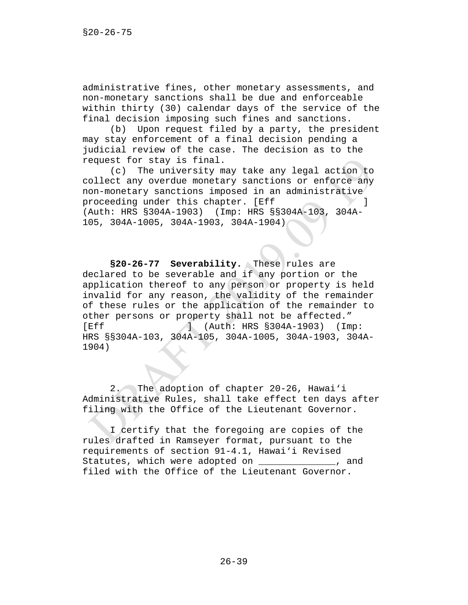administrative fines, other monetary assessments, and non-monetary sanctions shall be due and enforceable within thirty (30) calendar days of the service of the final decision imposing such fines and sanctions.

(b) Upon request filed by a party, the president may stay enforcement of a final decision pending a judicial review of the case. The decision as to the request for stay is final.

(c) The university may take any legal action to collect any overdue monetary sanctions or enforce any non-monetary sanctions imposed in an administrative proceeding under this chapter. [Eff ] (Auth: HRS §304A-1903) (Imp: HRS §§304A-103, 304A-105, 304A-1005, 304A-1903, 304A-1904)

**§20-26-77 Severability.** These rules are declared to be severable and if any portion or the application thereof to any person or property is held invalid for any reason, the validity of the remainder of these rules or the application of the remainder to other persons or property shall not be affected." [Eff ] (Auth: HRS §304A-1903) (Imp: HRS §§304A-103, 304A-105, 304A-1005, 304A-1903, 304A-1904)

2. The adoption of chapter 20-26, Hawai'i Administrative Rules, shall take effect ten days after filing with the Office of the Lieutenant Governor.

I certify that the foregoing are copies of the rules drafted in Ramseyer format, pursuant to the requirements of section 91-4.1, Hawai'i Revised Statutes, which were adopted on the statutes, and filed with the Office of the Lieutenant Governor.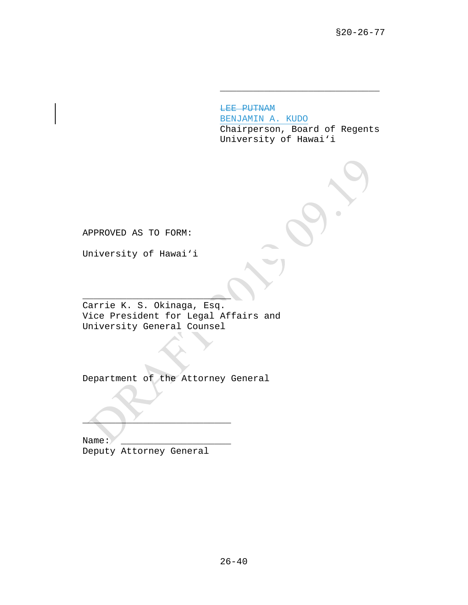LEE PUTNAM BENJAMIN A. KUDO Chairperson, Board of Regents University of Hawai'i

\_\_\_\_\_\_\_\_\_\_\_\_\_\_\_\_\_\_\_\_\_\_\_\_\_\_\_\_\_

APPROVED AS TO FORM:

University of Hawai'i

 $\overline{\phantom{a}}$  , we can assume that the contract of  $\overline{\phantom{a}}$ Carrie K. S. Okinaga, Esq. Vice President for Legal Affairs and University General Counsel

Department of the Attorney General

Name: Deputy Attorney General

 $\overline{\phantom{a}}$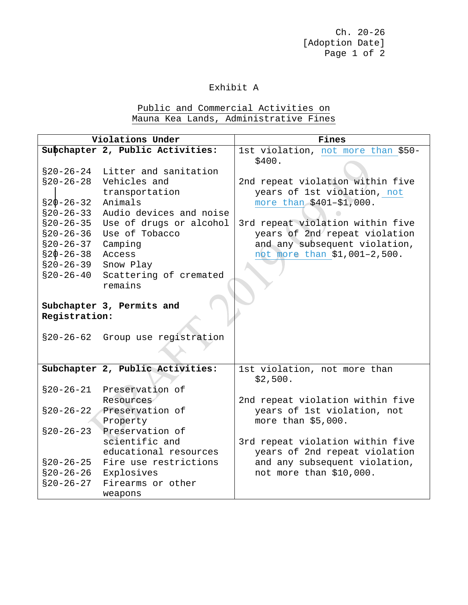Ch. 20-26 [Adoption Date] Page 1 of 2

### Exhibit A

# Public and Commercial Activities on Mauna Kea Lands, Administrative Fines

| Violations Under                                                                                                                                               |                                                                                                                                                                                                                   | Fines                                                                                                                                                                                                                             |
|----------------------------------------------------------------------------------------------------------------------------------------------------------------|-------------------------------------------------------------------------------------------------------------------------------------------------------------------------------------------------------------------|-----------------------------------------------------------------------------------------------------------------------------------------------------------------------------------------------------------------------------------|
|                                                                                                                                                                | Subchapter 2, Public Activities:                                                                                                                                                                                  | 1st violation, not more than \$50-<br>\$400.                                                                                                                                                                                      |
| $$20-26-24$<br>$$20-26-28$<br>$$20 - 26 - 32$<br>$$20-26-33$<br>$$20 - 26 - 35$<br>$$20-26-36$<br>$$20-26-37$<br>$$20 - 26 - 38$<br>$$20-26-39$<br>$$20-26-40$ | Litter and sanitation<br>Vehicles and<br>transportation<br>Animals<br>Audio devices and noise<br>Use of drugs or alcohol<br>Use of Tobacco<br>Camping<br>Access<br>Snow Play<br>Scattering of cremated<br>remains | 2nd repeat violation within five<br>years of 1st violation, not<br>more than \$401-\$1,000.<br>3rd repeat violation within five<br>years of 2nd repeat violation<br>and any subsequent violation,<br>not more than \$1,001-2,500. |
| Subchapter 3, Permits and<br>Registration:                                                                                                                     |                                                                                                                                                                                                                   |                                                                                                                                                                                                                                   |
| $$20-26-62$                                                                                                                                                    | Group use registration                                                                                                                                                                                            |                                                                                                                                                                                                                                   |
|                                                                                                                                                                | Subchapter 2, Public Activities:                                                                                                                                                                                  | 1st violation, not more than<br>\$2,500.                                                                                                                                                                                          |
| $$20-26-21$                                                                                                                                                    | Preservation of<br>Resources                                                                                                                                                                                      | 2nd repeat violation within five                                                                                                                                                                                                  |
|                                                                                                                                                                | §20-26-22 Preservation of<br>Property                                                                                                                                                                             | years of 1st violation, not<br>more than \$5,000.                                                                                                                                                                                 |
| $$20-26-23$<br>$$20-26-25$                                                                                                                                     | Preservation of<br>scientific and<br>educational resources<br>Fire use restrictions                                                                                                                               | 3rd repeat violation within five<br>years of 2nd repeat violation<br>and any subsequent violation,                                                                                                                                |
| $$20-26-26$<br>$$20-26-27$                                                                                                                                     | Explosives<br>Firearms or other<br>weapons                                                                                                                                                                        | not more than \$10,000.                                                                                                                                                                                                           |